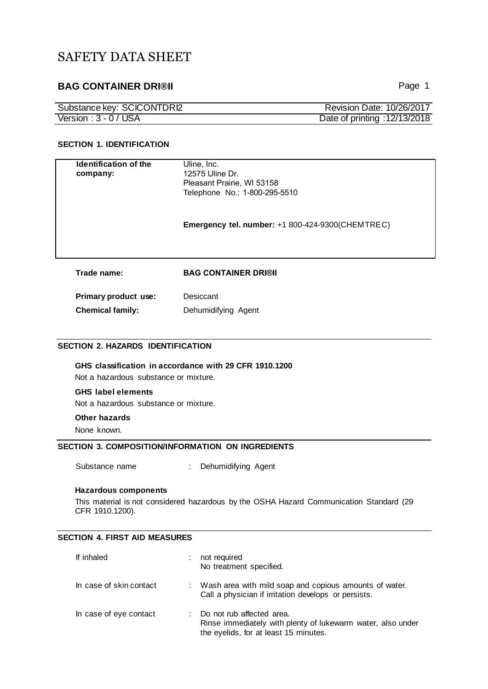## **BAG CONTAINER DRI®II Page 1**

| Substance key: SCICONTDRI2 | Revision Date: 10/26/2017     |
|----------------------------|-------------------------------|
| Version: $3 - 0 /$ USA     | Date of printing : 12/13/2018 |

#### **SECTION 1. IDENTIFICATION**

| Identification of the<br>company: | Uline, Inc.<br>12575 Uline Dr.<br>Pleasant Prairie, WI 53158<br>Telephone No.: 1-800-295-5510 |  |
|-----------------------------------|-----------------------------------------------------------------------------------------------|--|
|                                   | Emergency tel. number: +1 800-424-9300(CHEMTREC)                                              |  |
| Trade name:                       | <b>BAG CONTAINER DRIGIL</b>                                                                   |  |

| Primary product use:    | Desiccant           |
|-------------------------|---------------------|
| <b>Chemical family:</b> | Dehumidifying Agent |

### **SECTION 2. HAZARDS IDENTIFICATION**

**GHS classification in accordance with 29 CFR 1910.1200**  Not a hazardous substance or mixture. **GHS label elements** 

Not a hazardous substance or mixture.

#### **Other hazards**

None known.

#### **SECTION 3. COMPOSITION/INFORMATION ON INGREDIENTS**

Substance name : Dehumidifying Agent

#### **Hazardous components**

This material is not considered hazardous by the OSHA Hazard Communication Standard (29 CFR 1910.1200).

#### **SECTION 4. FIRST AID MEASURES**

| If inhaled              | not required<br>No treatment specified.                                                                                           |
|-------------------------|-----------------------------------------------------------------------------------------------------------------------------------|
| In case of skin contact | Wash area with mild soap and copious amounts of water.<br>Call a physician if irritation develops or persists.                    |
| In case of eye contact  | Do not rub affected area.<br>Rinse immediately with plenty of lukewarm water, also under<br>the eyelids, for at least 15 minutes. |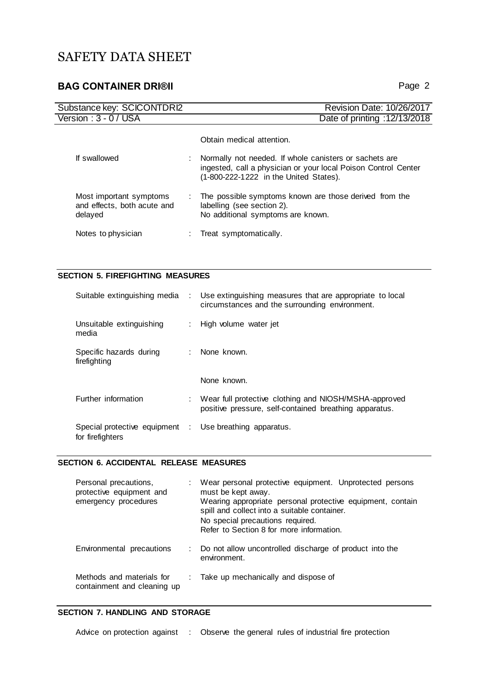## **BAG CONTAINER DRI®II Page 2**

| Substance key: SCICONTDRI2                                        | Revision Date: 10/26/2017                                                                                                                                          |
|-------------------------------------------------------------------|--------------------------------------------------------------------------------------------------------------------------------------------------------------------|
| Version: 3 - 0 / USA                                              | Date of printing : 12/13/2018                                                                                                                                      |
|                                                                   | Obtain medical attention.                                                                                                                                          |
| If swallowed                                                      | Normally not needed. If whole canisters or sachets are<br>ingested, call a physician or your local Poison Control Center<br>(1-800-222-1222 in the United States). |
| Most important symptoms<br>and effects, both acute and<br>delayed | The possible symptoms known are those derived from the<br>labelling (see section 2).<br>No additional symptoms are known.                                          |
| Notes to physician                                                | Treat symptomatically.                                                                                                                                             |

## **SECTION 5. FIREFIGHTING MEASURES**

| Suitable extinguishing media                                                | : Use extinguishing measures that are appropriate to local<br>circumstances and the surrounding environment.      |
|-----------------------------------------------------------------------------|-------------------------------------------------------------------------------------------------------------------|
| Unsuitable extinguishing<br>media                                           | : High volume water jet                                                                                           |
| Specific hazards during<br>firefighting                                     | None known.                                                                                                       |
|                                                                             | None known.                                                                                                       |
| Further information                                                         | : Wear full protective clothing and NIOSH/MSHA-approved<br>positive pressure, self-contained breathing apparatus. |
| Special protective equipment : Use breathing apparatus.<br>for firefighters |                                                                                                                   |

### **SECTION 6. ACCIDENTAL RELEASE MEASURES**

| Personal precautions,<br>protective equipment and<br>emergency procedures | : Wear personal protective equipment. Unprotected persons<br>must be kept away.<br>Wearing appropriate personal protective equipment, contain<br>spill and collect into a suitable container.<br>No special precautions required.<br>Refer to Section 8 for more information. |
|---------------------------------------------------------------------------|-------------------------------------------------------------------------------------------------------------------------------------------------------------------------------------------------------------------------------------------------------------------------------|
| Environmental precautions                                                 | : Do not allow uncontrolled discharge of product into the<br>environment.                                                                                                                                                                                                     |
| Methods and materials for<br>containment and cleaning up                  | : Take up mechanically and dispose of                                                                                                                                                                                                                                         |

#### **SECTION 7. HANDLING AND STORAGE**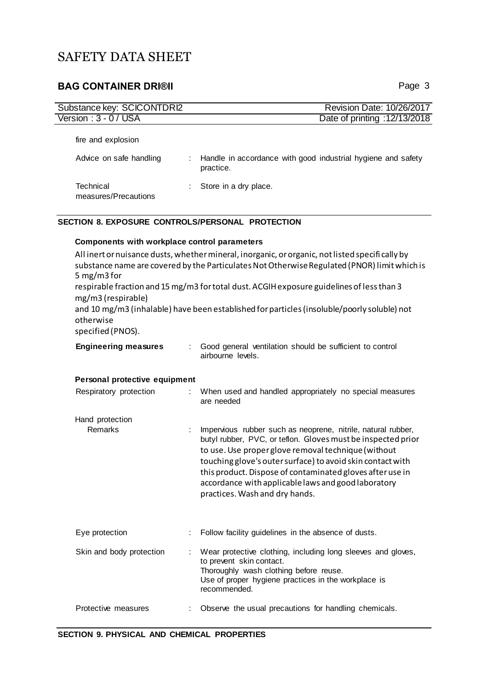## **BAG CONTAINER DRI®II Page 3**

| Substance key: SCICONTDRI2                       | Revision Date: 10/26/2017                                                                                                                                                                       |
|--------------------------------------------------|-------------------------------------------------------------------------------------------------------------------------------------------------------------------------------------------------|
| Version: 3 - 0 / USA                             | Date of printing : 12/13/2018                                                                                                                                                                   |
| fire and explosion                               |                                                                                                                                                                                                 |
| Advice on safe handling<br>÷                     | Handle in accordance with good industrial hygiene and safety<br>practice.                                                                                                                       |
| <b>Technical</b><br>measures/Precautions         | Store in a dry place.                                                                                                                                                                           |
| SECTION 8. EXPOSURE CONTROLS/PERSONAL PROTECTION |                                                                                                                                                                                                 |
| Components with workplace control parameters     |                                                                                                                                                                                                 |
| 5 mg/m3 for                                      | All inert or nuisance dusts, whether mineral, inorganic, or organic, not listed specifically by<br>substance name are covered by the Particulates Not Otherwise Regulated (PNOR) limit which is |
| mg/m3 (respirable)                               | respirable fraction and 15 mg/m3 for total dust. ACGIH exposure guidelines of less than 3                                                                                                       |
| otherwise<br>specified (PNOS).                   | and 10 mg/m3 (inhalable) have been established for particles (insoluble/poorly soluble) not                                                                                                     |
| <b>Engineering measures</b>                      | Good general ventilation should be sufficient to control<br>airbourne levels.                                                                                                                   |
| Personal protective equipment                    |                                                                                                                                                                                                 |
| Respiratory protection                           | When used and handled appropriately no special measures<br>are needed                                                                                                                           |

| Hand protection<br>Remarks | Impervious rubber such as neoprene, nitrile, natural rubber,<br>butyl rubber, PVC, or teflon. Gloves must be inspected prior<br>to use. Use proper glove removal technique (without<br>touching glove's outer surface) to avoid skin contact with<br>this product. Dispose of contaminated gloves after use in<br>accordance with applicable laws and good laboratory |
|----------------------------|-----------------------------------------------------------------------------------------------------------------------------------------------------------------------------------------------------------------------------------------------------------------------------------------------------------------------------------------------------------------------|
|                            | practices. Wash and dry hands.                                                                                                                                                                                                                                                                                                                                        |

| Eye protection           | : Follow facility guidelines in the absence of dusts.                                                                                                                                                       |
|--------------------------|-------------------------------------------------------------------------------------------------------------------------------------------------------------------------------------------------------------|
| Skin and body protection | : Wear protective clothing, including long sleeves and gloves,<br>to prevent skin contact.<br>Thoroughly wash clothing before reuse.<br>Use of proper hygiene practices in the workplace is<br>recommended. |
| Protective measures      | Observe the usual precautions for handling chemicals.                                                                                                                                                       |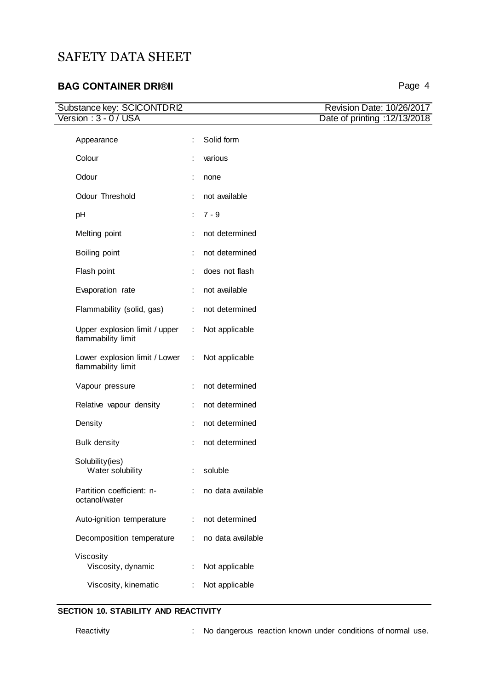## **BAG CONTAINER DRI®II** Page 4

| Substance key: SCICONTDRI2                          |   |                   | Revision Date: 10/26/2017     |
|-----------------------------------------------------|---|-------------------|-------------------------------|
| Version: 3 - 0 / USA                                |   |                   | Date of printing : 12/13/2018 |
| Appearance                                          |   | Solid form        |                               |
| Colour                                              |   | various           |                               |
| Odour                                               |   | none              |                               |
| Odour Threshold                                     |   | not available     |                               |
| pH                                                  |   | $7 - 9$           |                               |
| Melting point                                       |   | not determined    |                               |
| Boiling point                                       |   | not determined    |                               |
| Flash point                                         |   | does not flash    |                               |
| Evaporation rate                                    |   | not available     |                               |
| Flammability (solid, gas)                           | ÷ | not determined    |                               |
| Upper explosion limit / upper<br>flammability limit | ÷ | Not applicable    |                               |
| Lower explosion limit / Lower<br>flammability limit | ÷ | Not applicable    |                               |
| Vapour pressure                                     |   | not determined    |                               |
| Relative vapour density                             | ÷ | not determined    |                               |
| Density                                             |   | not determined    |                               |
| <b>Bulk density</b>                                 | ÷ | not determined    |                               |
| Solubility(ies)<br>Water solubility                 |   | soluble           |                               |
| Partition coefficient: n-<br>octanol/water          |   | no data available |                               |
| Auto-ignition temperature                           | ÷ | not determined    |                               |
| Decomposition temperature                           |   | no data available |                               |
| Viscosity<br>Viscosity, dynamic                     | ÷ | Not applicable    |                               |
| Viscosity, kinematic                                |   | Not applicable    |                               |

## **SECTION 10. STABILITY AND REACTIVITY**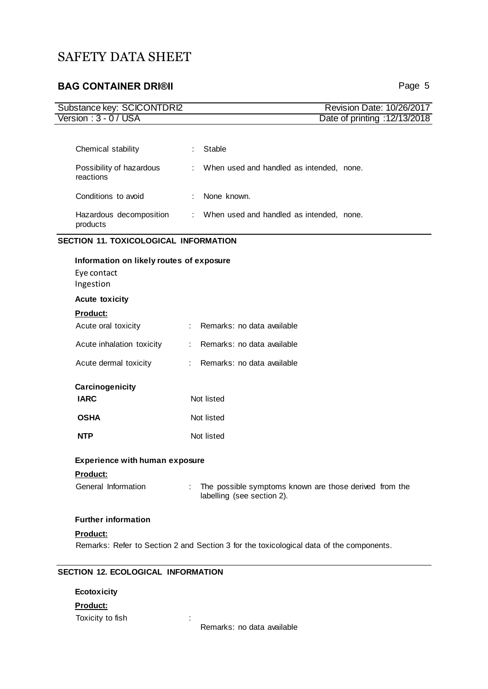## **BAG CONTAINER DRI®II Page 5**

| Substance key: SCICONTDRI2                              | Revision Date: 10/26/2017                                                                 |
|---------------------------------------------------------|-------------------------------------------------------------------------------------------|
| Version: 3 - 0 / USA                                    | Date of printing : 12/13/2018                                                             |
| Chemical stability                                      | Stable                                                                                    |
| Possibility of hazardous<br>reactions                   | When used and handled as intended, none.<br>÷                                             |
| Conditions to avoid                                     | None known.                                                                               |
| Hazardous decomposition<br>products                     | When used and handled as intended, none.<br>$\mathbb{Z}^n$                                |
| SECTION 11. TOXICOLOGICAL INFORMATION                   |                                                                                           |
|                                                         |                                                                                           |
| Information on likely routes of exposure<br>Eye contact |                                                                                           |
| Ingestion                                               |                                                                                           |
| <b>Acute toxicity</b>                                   |                                                                                           |
| Product:                                                |                                                                                           |
| Acute oral toxicity                                     | Remarks: no data available                                                                |
| Acute inhalation toxicity                               | Remarks: no data available<br>÷.                                                          |
| Acute dermal toxicity                                   | Remarks: no data available                                                                |
| Carcinogenicity                                         |                                                                                           |
| <b>IARC</b>                                             | Not listed                                                                                |
| <b>OSHA</b>                                             | Not listed                                                                                |
| <b>NTP</b>                                              | Not listed                                                                                |
| <b>Experience with human exposure</b>                   |                                                                                           |
| Product:                                                |                                                                                           |
| General Information                                     | ÷<br>The possible symptoms known are those derived from the<br>labelling (see section 2). |
| <b>Further information</b>                              |                                                                                           |
| Product:                                                |                                                                                           |
|                                                         | Remarks: Refer to Section 2 and Section 3 for the toxicological data of the components.   |
|                                                         |                                                                                           |

## **Ecotoxicity**

#### **Product:**

Toxicity to fish  $\qquad \qquad :$ 

Remarks: no data available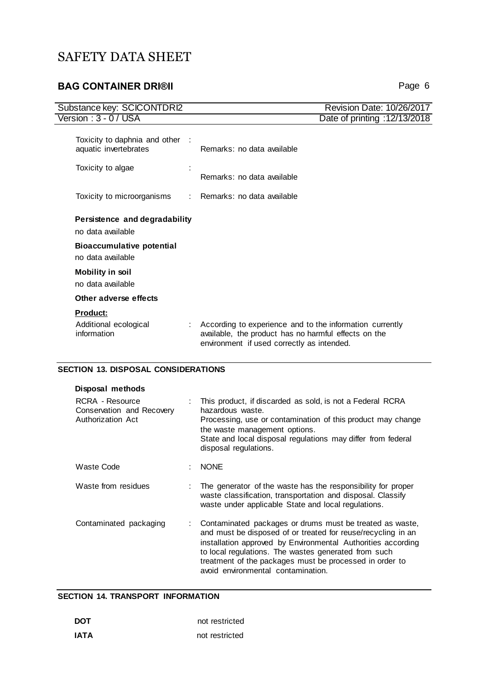## **BAG CONTAINER DRI®II Page 6**

| Substance key: SCICONTDRI2                               | Revision Date: 10/26/2017                                                                                                                                      |
|----------------------------------------------------------|----------------------------------------------------------------------------------------------------------------------------------------------------------------|
| Version: 3 - 0 / USA                                     | Date of printing : 12/13/2018                                                                                                                                  |
| Toxicity to daphnia and other :<br>aquatic invertebrates | Remarks: no data available                                                                                                                                     |
| Toxicity to algae                                        | Remarks: no data available                                                                                                                                     |
| Toxicity to microorganisms                               | $\therefore$ Remarks: no data available                                                                                                                        |
| Persistence and degradability                            |                                                                                                                                                                |
| no data available                                        |                                                                                                                                                                |
| <b>Bioaccumulative potential</b><br>no data available    |                                                                                                                                                                |
| Mobility in soil<br>no data available                    |                                                                                                                                                                |
| Other adverse effects                                    |                                                                                                                                                                |
| <b>Product:</b>                                          |                                                                                                                                                                |
| Additional ecological<br>information                     | According to experience and to the information currently<br>available, the product has no harmful effects on the<br>environment if used correctly as intended. |

#### **SECTION 13. DISPOSAL CONSIDERATIONS**

|  | Disposal methods |
|--|------------------|
|--|------------------|

| RCRA - Resource<br>Conservation and Recovery<br>Authorization Act |   | This product, if discarded as sold, is not a Federal RCRA<br>hazardous waste.<br>Processing, use or contamination of this product may change<br>the waste management options.<br>State and local disposal regulations may differ from federal<br>disposal regulations.                                                                            |
|-------------------------------------------------------------------|---|---------------------------------------------------------------------------------------------------------------------------------------------------------------------------------------------------------------------------------------------------------------------------------------------------------------------------------------------------|
| Waste Code                                                        |   | <b>NONE</b>                                                                                                                                                                                                                                                                                                                                       |
| Waste from residues                                               |   | The generator of the waste has the responsibility for proper<br>waste classification, transportation and disposal. Classify<br>waste under applicable State and local regulations.                                                                                                                                                                |
| Contaminated packaging                                            | ÷ | Contaminated packages or drums must be treated as waste,<br>and must be disposed of or treated for reuse/recycling in an<br>installation approved by Environmental Authorities according<br>to local regulations. The wastes generated from such<br>treatment of the packages must be processed in order to<br>avoid environmental contamination. |

### **SECTION 14. TRANSPORT INFORMATION**

| <b>DOT</b>  | not restricted |  |
|-------------|----------------|--|
| <b>IATA</b> | not restricted |  |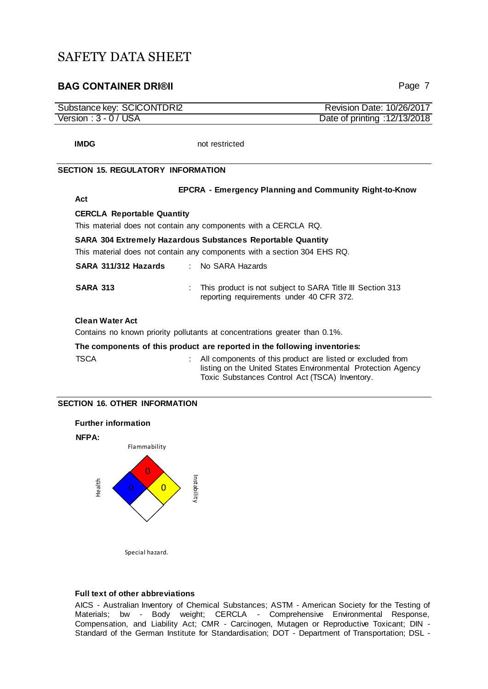## **BAG CONTAINER DRI®II Page 7**

| Substance key: SCICONTDRI2                                                |                                                                            | Revision Date: 10/26/2017                                                                                                  |  |  |
|---------------------------------------------------------------------------|----------------------------------------------------------------------------|----------------------------------------------------------------------------------------------------------------------------|--|--|
| Version: 3 - 0 / USA                                                      |                                                                            | Date of printing : 12/13/2018                                                                                              |  |  |
| <b>IMDG</b>                                                               | not restricted                                                             |                                                                                                                            |  |  |
| <b>SECTION 15. REGULATORY INFORMATION</b>                                 |                                                                            |                                                                                                                            |  |  |
| Act                                                                       |                                                                            | <b>EPCRA - Emergency Planning and Community Right-to-Know</b>                                                              |  |  |
| <b>CERCLA Reportable Quantity</b>                                         |                                                                            |                                                                                                                            |  |  |
| This material does not contain any components with a CERCLA RQ.           |                                                                            |                                                                                                                            |  |  |
| <b>SARA 304 Extremely Hazardous Substances Reportable Quantity</b>        |                                                                            |                                                                                                                            |  |  |
|                                                                           | This material does not contain any components with a section 304 EHS RQ.   |                                                                                                                            |  |  |
| SARA 311/312 Hazards                                                      | $\sim$<br>No SARA Hazards                                                  |                                                                                                                            |  |  |
| <b>SARA 313</b>                                                           | reporting requirements under 40 CFR 372.                                   | This product is not subject to SARA Title III Section 313                                                                  |  |  |
| <b>Clean Water Act</b>                                                    |                                                                            |                                                                                                                            |  |  |
|                                                                           | Contains no known priority pollutants at concentrations greater than 0.1%. |                                                                                                                            |  |  |
| The components of this product are reported in the following inventories: |                                                                            |                                                                                                                            |  |  |
| <b>TSCA</b>                                                               |                                                                            | All components of this product are listed or excluded from<br>listing on the United States Environmental Protection Agency |  |  |

Toxic Substances Control Act (TSCA) Inventory.

## **SECTION 16. OTHER INFORMATION**



#### **Full text of other abbreviations**

AICS - Australian Inventory of Chemical Substances; ASTM - American Society for the Testing of Materials; bw - Body weight; CERCLA - Comprehensive Environmental Response, Compensation, and Liability Act; CMR - Carcinogen, Mutagen or Reproductive Toxicant; DIN - Standard of the German Institute for Standardisation; DOT - Department of Transportation; DSL -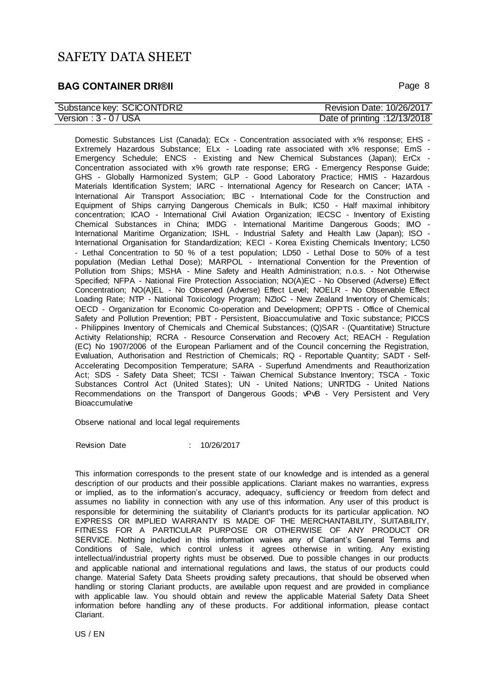### **BAG CONTAINER DRI®II** Page 8

| Substance key: SCICONTDRI2 | Revision Date: 10/26/2017     |
|----------------------------|-------------------------------|
| Version: 3 - 0 / USA       | Date of printing : 12/13/2018 |

Domestic Substances List (Canada); ECx - Concentration associated with x% response; EHS - Extremely Hazardous Substance; ELx - Loading rate associated with x% response; EmS - Emergency Schedule; ENCS - Existing and New Chemical Substances (Japan); ErCx - Concentration associated with x% growth rate response; ERG - Emergency Response Guide; GHS - Globally Harmonized System; GLP - Good Laboratory Practice; HMIS - Hazardous Materials Identification System; IARC - International Agency for Research on Cancer; IATA - International Air Transport Association; IBC - International Code for the Construction and Equipment of Ships carrying Dangerous Chemicals in Bulk; IC50 - Half maximal inhibitory concentration; ICAO - International Civil Aviation Organization; IECSC - Inventory of Existing Chemical Substances in China; IMDG - International Maritime Dangerous Goods; IMO - International Maritime Organization; ISHL - Industrial Safety and Health Law (Japan); ISO - International Organisation for Standardization; KECI - Korea Existing Chemicals Inventory; LC50 - Lethal Concentration to 50 % of a test population; LD50 - Lethal Dose to 50% of a test population (Median Lethal Dose); MARPOL - International Convention for the Prevention of Pollution from Ships; MSHA - Mine Safety and Health Administration; n.o.s. - Not Otherwise Specified; NFPA - National Fire Protection Association; NO(A)EC - No Observed (Adverse) Effect Concentration; NO(A)EL - No Observed (Adverse) Effect Level; NOELR - No Observable Effect Loading Rate; NTP - National Toxicology Program; NZIoC - New Zealand Inventory of Chemicals; OECD - Organization for Economic Co-operation and Development; OPPTS - Office of Chemical Safety and Pollution Prevention; PBT - Persistent, Bioaccumulative and Toxic substance; PICCS - Philippines Inventory of Chemicals and Chemical Substances; (Q)SAR - (Quantitative) Structure Activity Relationship; RCRA - Resource Conservation and Recovery Act; REACH - Regulation (EC) No 1907/2006 of the European Parliament and of the Council concerning the Registration, Evaluation, Authorisation and Restriction of Chemicals; RQ - Reportable Quantity; SADT - Self-Accelerating Decomposition Temperature; SARA - Superfund Amendments and Reauthorization Act; SDS - Safety Data Sheet; TCSI - Taiwan Chemical Substance Inventory; TSCA - Toxic Substances Control Act (United States); UN - United Nations; UNRTDG - United Nations Recommendations on the Transport of Dangerous Goods; vPvB - Very Persistent and Very **Bioaccumulative** 

Observe national and local legal requirements

Revision Date : 10/26/2017

This information corresponds to the present state of our knowledge and is intended as a general description of our products and their possible applications. Clariant makes no warranties, express or implied, as to the information's accuracy, adequacy, sufficiency or freedom from defect and assumes no liability in connection with any use of this information. Any user of this product is responsible for determining the suitability of Clariant's products for its particular application. NO EXPRESS OR IMPLIED WARRANTY IS MADE OF THE MERCHANTABILITY, SUITABILITY, FITNESS FOR A PARTICULAR PURPOSE OR OTHERWISE OF ANY PRODUCT OR SERVICE. Nothing included in this information waives any of Clariant's General Terms and Conditions of Sale, which control unless it agrees otherwise in writing. Any existing intellectual/industrial property rights must be observed. Due to possible changes in our products and applicable national and international regulations and laws, the status of our products could change. Material Safety Data Sheets providing safety precautions, that should be observed when handling or storing Clariant products, are available upon request and are provided in compliance with applicable law. You should obtain and review the applicable Material Safety Data Sheet information before handling any of these products. For additional information, please contact Clariant.

US / EN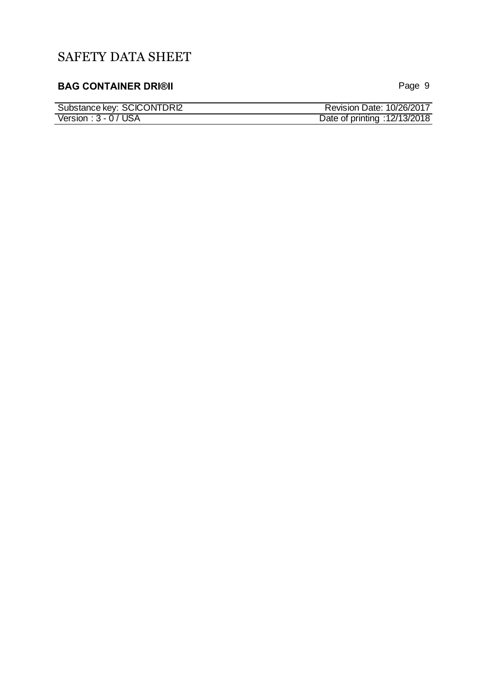## **BAG CONTAINER DRI®II Page 9**

| Substance key: SCICONTDRI2 | Revision Date: 10/26/2017     |
|----------------------------|-------------------------------|
| Version: 3 - 0 / USA       | Date of printing : 12/13/2018 |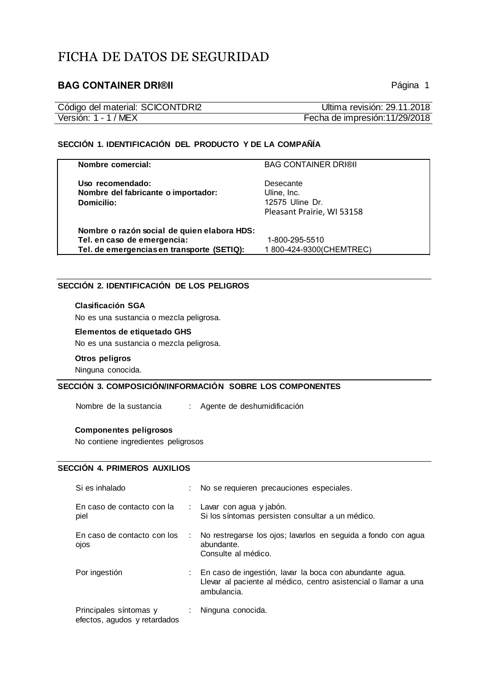## **BAG CONTAINER DRI®II** Página 1

| Código del material: SCICONTDRI2 | Ultima revisión: 29.11.2018    |
|----------------------------------|--------------------------------|
| Versión: 1 - 1 / MEX             | Fecha de impresión: 11/29/2018 |

#### **SECCIÓN 1. IDENTIFICACIÓN DEL PRODUCTO Y DE LA COMPAÑÍA**

| Nombre comercial:                                                     | <b>BAG CONTAINER DRIGIL</b>                                               |
|-----------------------------------------------------------------------|---------------------------------------------------------------------------|
| Uso recomendado:<br>Nombre del fabricante o importador:<br>Domicilio: | Desecante<br>Uline, Inc.<br>12575 Uline Dr.<br>Pleasant Prairie, WI 53158 |
| Nombre o razón social de quien elabora HDS:                           |                                                                           |
| Tel. en caso de emergencia:                                           | 1-800-295-5510                                                            |
| Tel. de emergencias en transporte (SETIQ):                            | 1800-424-9300(CHEMTREC)                                                   |

### **SECCIÓN 2. IDENTIFICACIÓN DE LOS PELIGROS**

#### **Clasificación SGA**

No es una sustancia o mezcla peligrosa.

#### **Elementos de etiquetado GHS**

No es una sustancia o mezcla peligrosa.

#### **Otros peligros**

Ninguna conocida.

#### **SECCIÓN 3. COMPOSICIÓN/INFORMACIÓN SOBRE LOS COMPONENTES**

Nombre de la sustancia : Agente de deshumidificación

#### **Componentes peligrosos**

No contiene ingredientes peligrosos

#### **SECCIÓN 4. PRIMEROS AUXILIOS**

| Si es inhalado                                         |    | : No se requieren precauciones especiales.                                                                                                  |
|--------------------------------------------------------|----|---------------------------------------------------------------------------------------------------------------------------------------------|
| En caso de contacto con la<br>piel                     |    | : Lavar con agua y jabón.<br>Si los síntomas persisten consultar a un médico.                                                               |
| En caso de contacto con los<br><b>OjOS</b>             | ÷. | No restregarse los ojos; lavarlos en seguida a fondo con agua<br>abundante.<br>Consulte al médico.                                          |
| Por ingestión                                          |    | : En caso de ingestión, lavar la boca con abundante agua.<br>Llevar al paciente al médico, centro asistencial o llamar a una<br>ambulancia. |
| Principales síntomas y<br>efectos, agudos y retardados |    | Ninguna conocida.                                                                                                                           |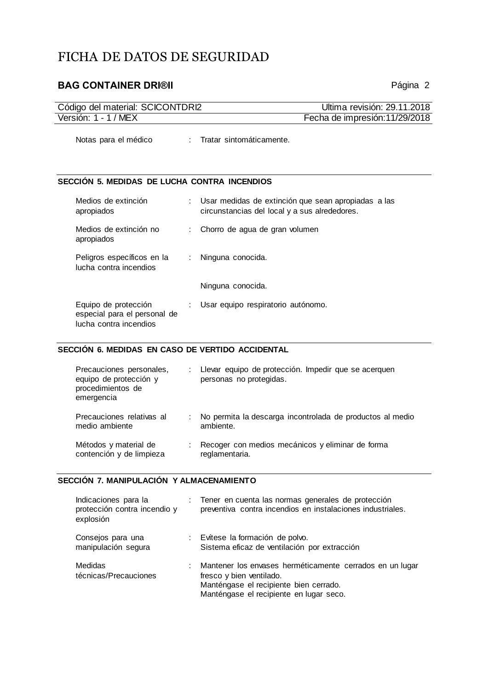## **BAG CONTAINER DRI®II** *Página 2*

| Código del material: SCICONTDRI2 | Ultima revisión: 29.11.2018    |
|----------------------------------|--------------------------------|
| Versión: 1 - 1 / MEX             | Fecha de impresión: 11/29/2018 |
|                                  |                                |

Notas para el médico : Tratar sintomáticamente.

#### **SECCIÓN 5. MEDIDAS DE LUCHA CONTRA INCENDIOS**

| Medios de extinción<br>apropiados                                              | : Usar medidas de extinción que sean apropiadas a las<br>circunstancias del local y a sus alrededores. |
|--------------------------------------------------------------------------------|--------------------------------------------------------------------------------------------------------|
| Medios de extinción no<br>apropiados                                           | Chorro de agua de gran volumen                                                                         |
| Peligros específicos en la<br>lucha contra incendios                           | Ninguna conocida.                                                                                      |
|                                                                                | Ninguna conocida.                                                                                      |
| Equipo de protección<br>especial para el personal de<br>lucha contra incendios | Usar equipo respiratorio autónomo.                                                                     |

### **SECCIÓN 6. MEDIDAS EN CASO DE VERTIDO ACCIDENTAL**

| Precauciones personales,<br>equipo de protección y<br>procedimientos de<br>emergencia |    | Llevar equipo de protección. Impedir que se acerquen<br>personas no protegidas. |
|---------------------------------------------------------------------------------------|----|---------------------------------------------------------------------------------|
| Precauciones relativas al<br>medio ambiente                                           |    | No permita la descarga incontrolada de productos al medio<br>ambiente.          |
| Métodos y material de<br>contención y de limpieza                                     | ÷. | Recoger con medios mecánicos y eliminar de forma<br>reglamentaria.              |

### **SECCIÓN 7. MANIPULACIÓN Y ALMACENAMIENTO**

| Indicaciones para la<br>protección contra incendio y<br>explosión | : Tener en cuenta las normas generales de protección<br>preventiva contra incendios en instalaciones industriales.                                                        |
|-------------------------------------------------------------------|---------------------------------------------------------------------------------------------------------------------------------------------------------------------------|
| Consejos para una<br>manipulación segura                          | : Evítese la formación de polvo.<br>Sistema eficaz de ventilación por extracción                                                                                          |
| Medidas<br>técnicas/Precauciones                                  | Mantener los envases herméticamente cerrados en un lugar<br>fresco y bien ventilado.<br>Manténgase el recipiente bien cerrado.<br>Manténgase el recipiente en lugar seco. |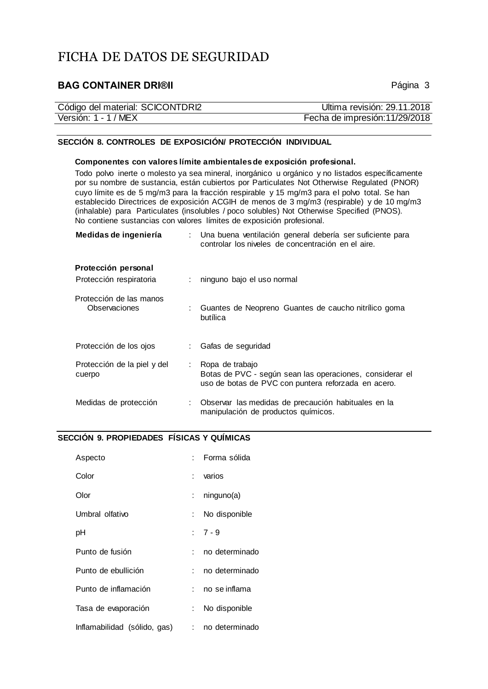## **BAG CONTAINER DRI®II** Página 3

| Código del material: SCICONTDRI2 | Ultima revisión: 29.11.2018    |
|----------------------------------|--------------------------------|
| Versión: 1 - 1 / MEX             | Fecha de impresión: 11/29/2018 |

#### **SECCIÓN 8. CONTROLES DE EXPOSICIÓN/ PROTECCIÓN INDIVIDUAL**

#### **Componentes con valores límite ambientales de exposición profesional.**

Todo polvo inerte o molesto ya sea mineral, inorgánico u orgánico y no listados específicamente por su nombre de sustancia, están cubiertos por Particulates Not Otherwise Regulated (PNOR) cuyo límite es de 5 mg/m3 para la fracción respirable y 15 mg/m3 para el polvo total. Se han establecido Directrices de exposición ACGIH de menos de 3 mg/m3 (respirable) y de 10 mg/m3 (inhalable) para Particulates (insolubles / poco solubles) Not Otherwise Specified (PNOS). No contiene sustancias con valores límites de exposición profesional.

| Medidas de ingeniería                          |    | Una buena ventilación general debería ser suficiente para<br>controlar los niveles de concentración en el aire.                    |
|------------------------------------------------|----|------------------------------------------------------------------------------------------------------------------------------------|
| Protección personal<br>Protección respiratoria |    | ninguno bajo el uso normal                                                                                                         |
| Protección de las manos<br>Observaciones       |    | Guantes de Neopreno Guantes de caucho nitrílico goma<br>butílica                                                                   |
| Protección de los ojos                         |    | Gafas de seguridad                                                                                                                 |
| Protección de la piel y del<br>cuerpo          | t. | Ropa de trabajo<br>Botas de PVC - según sean las operaciones, considerar el<br>uso de botas de PVC con puntera reforzada en acero. |
| Medidas de protección                          | ÷  | Observar las medidas de precaución habituales en la<br>manipulación de productos químicos.                                         |

#### **SECCIÓN 9. PROPIEDADES FÍSICAS Y QUÍMICAS**

| Aspecto                      |                    | Forma sólida   |
|------------------------------|--------------------|----------------|
| Color                        | t.                 | varios         |
| Olor                         | t.                 | ninguno(a)     |
| Umbral olfativo              | t.                 | No disponible  |
| рH                           |                    | $: 7 - 9$      |
| Punto de fusión              | <b>Participant</b> | no determinado |
| Punto de ebullición          | × 1                | no determinado |
| Punto de inflamación         |                    | no se inflama  |
| Tasa de evaporación          | t.                 | No disponible  |
| Inflamabilidad (sólido, gas) | t.                 | no determinado |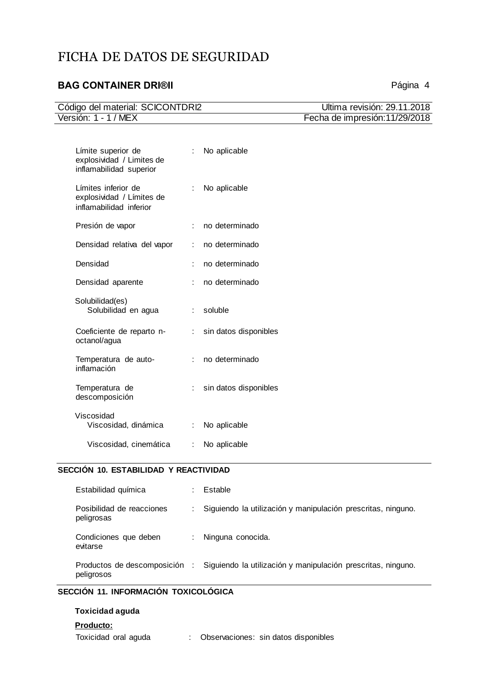## **BAG CONTAINER DRI®II** Página 4

| Código del material: SCICONTDRI2 | Ultima revisión: 29.11.2018    |
|----------------------------------|--------------------------------|
| Versión: 1 - 1 / MEX             | Fecha de impresión: 11/29/2018 |

| Límite superior de<br>explosividad / Limites de<br>inflamabilidad superior  |                           | No aplicable          |
|-----------------------------------------------------------------------------|---------------------------|-----------------------|
| Límites inferior de<br>explosividad / Límites de<br>inflamabilidad inferior |                           | No aplicable          |
| Presión de vapor                                                            |                           | no determinado        |
| Densidad relativa del vapor                                                 | t.                        | no determinado        |
| Densidad                                                                    |                           | no determinado        |
| Densidad aparente                                                           |                           | no determinado        |
| Solubilidad(es)<br>Solubilidad en agua                                      | $\mathbb{R}^{\mathbb{Z}}$ | soluble               |
| Coeficiente de reparto n-<br>octanol/agua                                   | t.                        | sin datos disponibles |
| Temperatura de auto-<br>inflamación                                         | t.                        | no determinado        |
| Temperatura de<br>descomposición                                            | t.                        | sin datos disponibles |
| Viscosidad<br>Viscosidad, dinámica                                          | t.                        | No aplicable          |
| Viscosidad, cinemática                                                      |                           | No aplicable          |

## **SECCIÓN 10. ESTABILIDAD Y REACTIVIDAD**

| Estabilidad química                        | Estable                                                      |
|--------------------------------------------|--------------------------------------------------------------|
| Posibilidad de reacciones<br>peligrosas    | Siguiendo la utilización y manipulación prescritas, ninguno. |
| Condiciones que deben<br>evitarse          | Ninguna conocida.                                            |
| Productos de descomposición:<br>peligrosos | Siguiendo la utilización y manipulación prescritas, ninguno. |

## **SECCIÓN 11. INFORMACIÓN TOXICOLÓGICA**

## **Toxicidad aguda**

#### **Producto:**

| Toxicidad oral aguda |  | Observaciones: sin datos disponibles |  |  |
|----------------------|--|--------------------------------------|--|--|
|----------------------|--|--------------------------------------|--|--|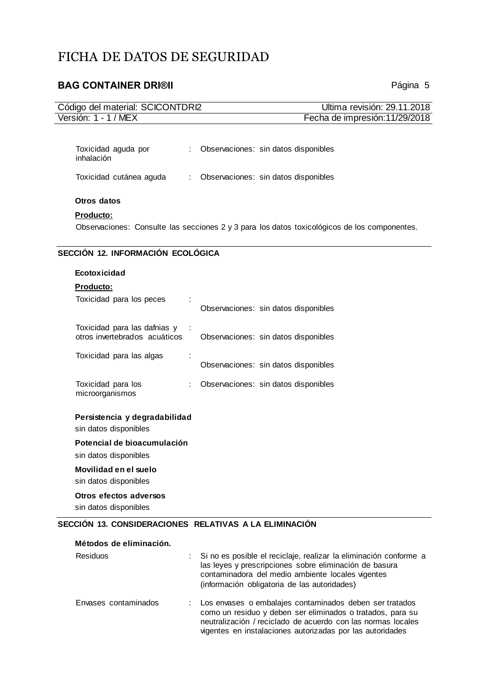### **BAG CONTAINER DRI®II** Página 5

| Código del material: SCICONTDRI2  | Ultima revisión: 29.11.2018                                                                  |
|-----------------------------------|----------------------------------------------------------------------------------------------|
| Versión: 1 - 1 / MEX              | Fecha de impresión: 11/29/2018                                                               |
|                                   |                                                                                              |
| Toxicidad aguda por<br>inhalación | Observaciones: sin datos disponibles                                                         |
| Toxicidad cutánea aguda           | : Observaciones: sin datos disponibles                                                       |
| Otros datos                       |                                                                                              |
| Producto:                         |                                                                                              |
|                                   | Observaciones: Consulte las secciones 2 y 3 para los datos toxicológicos de los componentes. |
|                                   |                                                                                              |
| SECCIÓN 12. INFORMACIÓN ECOLÓGICA |                                                                                              |
|                                   |                                                                                              |

#### **Ecotoxicidad Producto:**

| r i vuutiv.                                                   |                                      |
|---------------------------------------------------------------|--------------------------------------|
| Toxicidad para los peces                                      | Observaciones: sin datos disponibles |
| Toxicidad para las dafnias y<br>otros invertebrados acuáticos | Observaciones: sin datos disponibles |
| Toxicidad para las algas                                      | Observaciones: sin datos disponibles |
| Toxicidad para los<br>microorganismos                         | Observaciones: sin datos disponibles |
|                                                               |                                      |

## **Persistencia y degradabilidad**

sin datos disponibles

#### **Potencial de bioacumulación**

sin datos disponibles

#### **Movilidad en el suelo**

sin datos disponibles

#### **Otros efectos adversos**

sin datos disponibles

### **SECCIÓN 13. CONSIDERACIONES RELATIVAS A LA ELIMINACIÓN**

| Métodos de eliminación. |                                                                                                                                                                                                                                                    |
|-------------------------|----------------------------------------------------------------------------------------------------------------------------------------------------------------------------------------------------------------------------------------------------|
| <b>Residuos</b>         | : Si no es posible el reciclaje, realizar la eliminación conforme a<br>las leyes y prescripciones sobre eliminación de basura<br>contaminadora del medio ambiente locales vigentes<br>(información obligatoria de las autoridades)                 |
| Envases contaminados    | Los envases o embalajes contaminados deben ser tratados<br>como un residuo y deben ser eliminados o tratados, para su<br>neutralización / reciclado de acuerdo con las normas locales<br>vigentes en instalaciones autorizadas por las autoridades |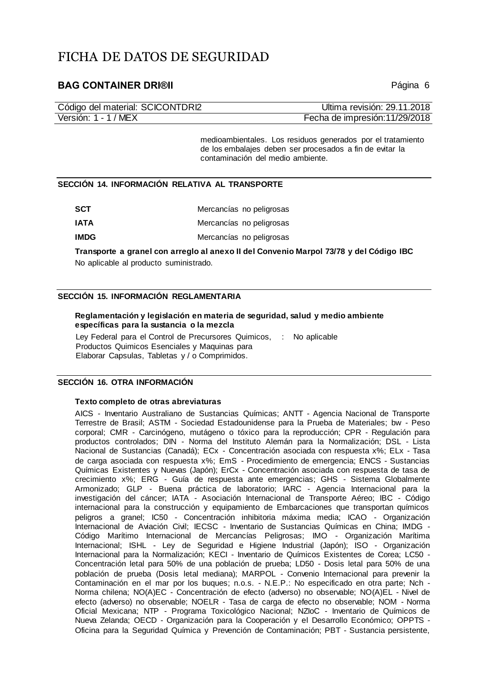#### **BAG CONTAINER DRI®II** Página 6

Código del material: SCICONTDRI2 Ultima revisión: 29.11.2018 Versión: 1 - 1 / MEX Fecha de impresión: 11/29/2018

> medioambientales. Los residuos generados por el tratamiento de los embalajes deben ser procesados a fin de evitar la contaminación del medio ambiente.

### **SECCIÓN 14. INFORMACIÓN RELATIVA AL TRANSPORTE**

| SCT   | Mercancías no peligrosas |
|-------|--------------------------|
| IATA  | Mercancías no peligrosas |
| IMDG. | Mercancías no peligrosas |

**Transporte a granel con arreglo al anexo II del Convenio Marpol 73/78 y del Código IBC** No aplicable al producto suministrado.

#### **SECCIÓN 15. INFORMACIÓN REGLAMENTARIA**

#### **Reglamentación y legislación en materia de seguridad, salud y medio ambiente específicas para la sustancia o la mezcla**

Ley Federal para el Control de Precursores Quimicos, : No aplicable Productos Quimicos Esenciales y Maquinas para Elaborar Capsulas, Tabletas y / o Comprimidos.

#### **SECCIÓN 16. OTRA INFORMACIÓN**

#### **Texto completo de otras abreviaturas**

AICS - Inventario Australiano de Sustancias Químicas; ANTT - Agencia Nacional de Transporte Terrestre de Brasil; ASTM - Sociedad Estadounidense para la Prueba de Materiales; bw - Peso corporal; CMR - Carcinógeno, mutágeno o tóxico para la reproducción; CPR - Regulación para productos controlados; DIN - Norma del Instituto Alemán para la Normalización; DSL - Lista Nacional de Sustancias (Canadá); ECx - Concentración asociada con respuesta x%; ELx - Tasa de carga asociada con respuesta x%; EmS - Procedimiento de emergencia; ENCS - Sustancias Químicas Existentes y Nuevas (Japón); ErCx - Concentración asociada con respuesta de tasa de crecimiento x%; ERG - Guía de respuesta ante emergencias; GHS - Sistema Globalmente Armonizado; GLP - Buena práctica de laboratorio; IARC - Agencia Internacional para la investigación del cáncer; IATA - Asociación Internacional de Transporte Aéreo; IBC - Código internacional para la construcción y equipamiento de Embarcaciones que transportan químicos peligros a granel; IC50 - Concentración inhibitoria máxima media; ICAO - Organización Internacional de Aviación Civil; IECSC - Inventario de Sustancias Químicas en China; IMDG - Código Marítimo Internacional de Mercancías Peligrosas; IMO - Organización Marítima Internacional; ISHL - Ley de Seguridad e Higiene Industrial (Japón); ISO - Organización Internacional para la Normalización; KECI - Inventario de Químicos Existentes de Corea; LC50 - Concentración letal para 50% de una población de prueba; LD50 - Dosis letal para 50% de una población de prueba (Dosis letal mediana); MARPOL - Convenio Internacional para prevenir la Contaminación en el mar por los buques; n.o.s. - N.E.P.: No especificado en otra parte; Nch - Norma chilena; NO(A)EC - Concentración de efecto (adverso) no observable; NO(A)EL - Nivel de efecto (adverso) no observable; NOELR - Tasa de carga de efecto no observable; NOM - Norma Oficial Mexicana; NTP - Programa Toxicológico Nacional; NZIoC - Inventario de Químicos de Nueva Zelanda; OECD - Organización para la Cooperación y el Desarrollo Económico; OPPTS - Oficina para la Seguridad Química y Prevención de Contaminación; PBT - Sustancia persistente,